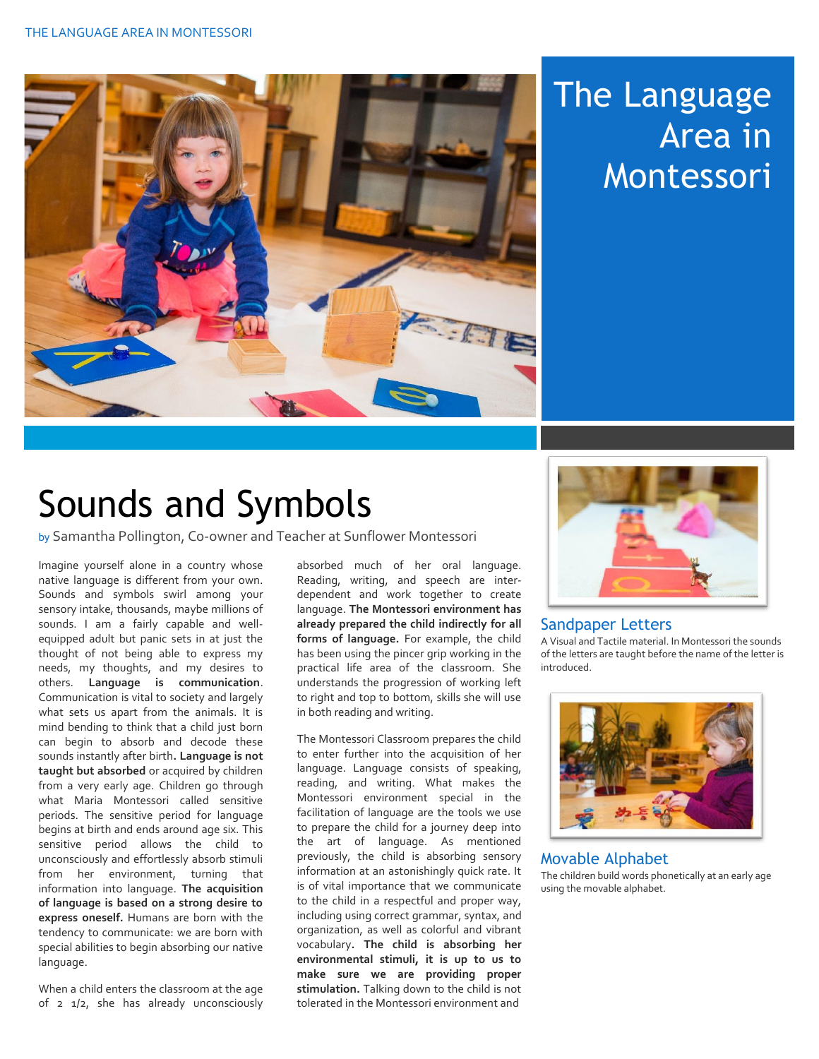

## The Language Area in Montessori

## Sounds and Symbols

by Samantha Pollington, Co-owner and Teacher at Sunflower Montessori

Imagine yourself alone in a country whose native language is different from your own. Sounds and symbols swirl among your sensory intake, thousands, maybe millions of sounds. I am a fairly capable and wellequipped adult but panic sets in at just the thought of not being able to express my needs, my thoughts, and my desires to others. **Language is communication**. Communication is vital to society and largely what sets us apart from the animals. It is mind bending to think that a child just born can begin to absorb and decode these sounds instantly after birth**. Language is not taught but absorbed** or acquired by children from a very early age. Children go through what Maria Montessori called sensitive periods. The sensitive period for language begins at birth and ends around age six. This sensitive period allows the child to unconsciously and effortlessly absorb stimuli from her environment, turning that information into language. **The acquisition of language is based on a strong desire to express oneself.** Humans are born with the tendency to communicate: we are born with special abilities to begin absorbing our native language.

When a child enters the classroom at the age of 2 1/2, she has already unconsciously

absorbed much of her oral language. Reading, writing, and speech are interdependent and work together to create language. **The Montessori environment has already prepared the child indirectly for all forms of language.** For example, the child has been using the pincer grip working in the practical life area of the classroom. She understands the progression of working left to right and top to bottom, skills she will use in both reading and writing.

The Montessori Classroom prepares the child to enter further into the acquisition of her language. Language consists of speaking, reading, and writing. What makes the Montessori environment special in the facilitation of language are the tools we use to prepare the child for a journey deep into the art of language. As mentioned previously, the child is absorbing sensory information at an astonishingly quick rate. It is of vital importance that we communicate to the child in a respectful and proper way, including using correct grammar, syntax, and organization, as well as colorful and vibrant vocabulary**. The child is absorbing her environmental stimuli, it is up to us to make sure we are providing proper stimulation.** Talking down to the child is not tolerated in the Montessori environment and



## Sandpaper Letters

A Visual and Tactile material. In Montessori the sounds of the letters are taught before the name of the letter is introduced.



## Movable Alphabet

The children build words phonetically at an early age using the movable alphabet.